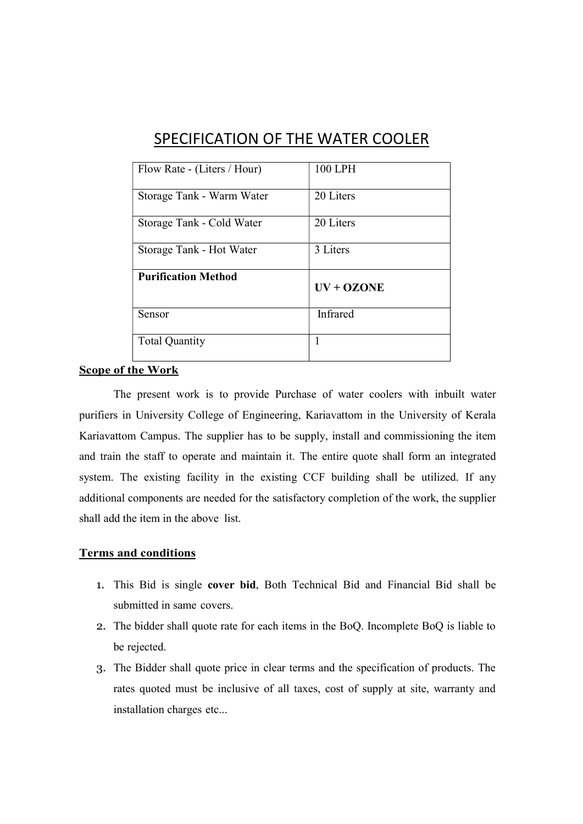| Flow Rate - (Liters / Hour) | 100 LPH      |
|-----------------------------|--------------|
| Storage Tank - Warm Water   | 20 Liters    |
| Storage Tank - Cold Water   | 20 Liters    |
| Storage Tank - Hot Water    | 3 Liters     |
| <b>Purification Method</b>  | $UV + OZONE$ |
| Sensor                      | Infrared     |
| <b>Total Quantity</b>       | 1            |

## SPECIFICATION OF THE WATER COOLER

## Scope of the Work

The present work is to provide Purchase of water coolers with inbuilt water purifiers in University College of Engineering, Kariavattom in the University of Kerala Kariavattom Campus. The supplier has to be supply, install and commissioning the item and train the staff to operate and maintain it. The entire quote shall form an integrated system. The existing facility in the existing CCF building shall be utilized. If any additional components are needed for the satisfactory completion of the work, the supplier shall add the item in the above list.

## Terms and conditions

- 1. This Bid is single cover bid, Both Technical Bid and Financial Bid shall be submitted in same covers.
- 2. The bidder shall quote rate for each items in the BoQ. Incomplete BoQ is liable to be rejected.
- 3. The Bidder shall quote price in clear terms and the specification of products. The rates quoted must be inclusive of all taxes, cost of supply at site, warranty and installation charges etc...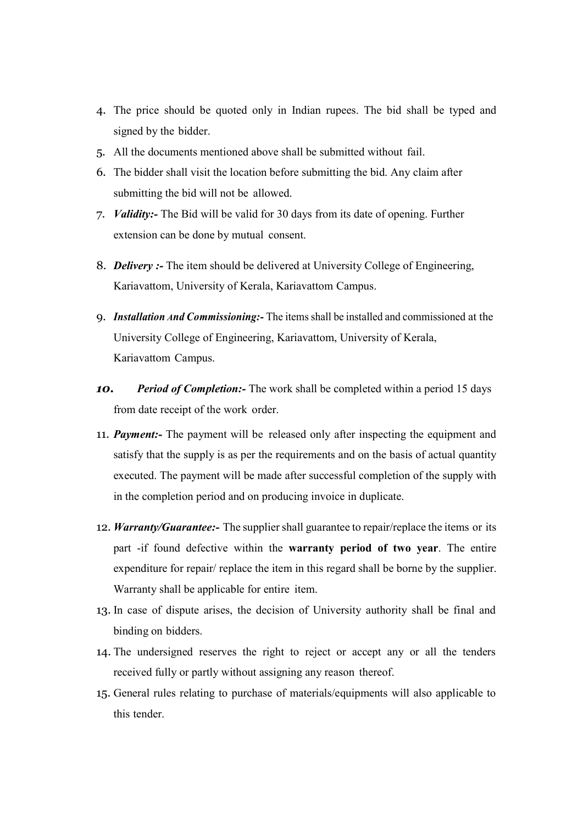- 4. The price should be quoted only in Indian rupees. The bid shall be typed and signed by the bidder.
- 5. All the documents mentioned above shall be submitted without fail.
- 6. The bidder shall visit the location before submitting the bid. Any claim after submitting the bid will not be allowed.
- 7. *Validity:* The Bid will be valid for 30 days from its date of opening. Further extension can be done by mutual consent.
- 8. Delivery :- The item should be delivered at University College of Engineering, Kariavattom, University of Kerala, Kariavattom Campus.
- 9. Installation And Commissioning: The items shall be installed and commissioned at the University College of Engineering, Kariavattom, University of Kerala, Kariavattom Campus.
- 10. Period of Completion: The work shall be completed within a period 15 days from date receipt of the work order.
- 11. **Payment:** The payment will be released only after inspecting the equipment and satisfy that the supply is as per the requirements and on the basis of actual quantity executed. The payment will be made after successful completion of the supply with in the completion period and on producing invoice in duplicate.
- 12. Warranty/Guarantee:- The supplier shall guarantee to repair/replace the items or its part -if found defective within the warranty period of two year. The entire expenditure for repair/ replace the item in this regard shall be borne by the supplier. Warranty shall be applicable for entire item.
- 13. In case of dispute arises, the decision of University authority shall be final and binding on bidders.
- 14. The undersigned reserves the right to reject or accept any or all the tenders received fully or partly without assigning any reason thereof.
- 15. General rules relating to purchase of materials/equipments will also applicable to this tender.